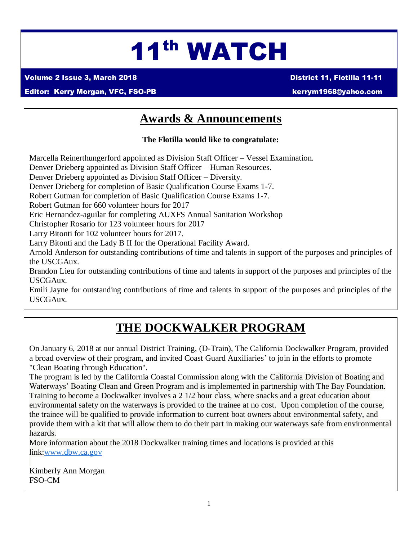# 11th WATCH

Volume 2 Issue 3, March 2018 District 11, Flotilla 11-11

#### Editor: Kerry Morgan, VFC, FSO-PB [kerrym1968@yahoo.com](mailto:kerrym1968@yahoo.com)

### **Awards & Announcements**

**The Flotilla would like to congratulate:**

Marcella Reinerthungerford appointed as Division Staff Officer – Vessel Examination.

Denver Drieberg appointed as Division Staff Officer – Human Resources.

Denver Drieberg appointed as Division Staff Officer – Diversity.

Denver Drieberg for completion of Basic Qualification Course Exams 1-7.

Robert Gutman for completion of Basic Qualification Course Exams 1-7.

Robert Gutman for 660 volunteer hours for 2017

Eric Hernandez-aguilar for completing AUXFS Annual Sanitation Workshop

Christopher Rosario for 123 volunteer hours for 2017

Larry Bitonti for 102 volunteer hours for 2017.

Larry Bitonti and the Lady B II for the Operational Facility Award.

Arnold Anderson for outstanding contributions of time and talents in support of the purposes and principles of the USCGAux.

Brandon Lieu for outstanding contributions of time and talents in support of the purposes and principles of the USCGAux.

Emili Jayne for outstanding contributions of time and talents in support of the purposes and principles of the USCGAux.

# **THE DOCKWALKER PROGRAM**

 On January 6, 2018 at our annual District Training, (D-Train), The California Dockwalker Program, provided a broad overview of their program, and invited Coast Guard Auxiliaries' to join in the efforts to promote "Clean Boating through Education".

The program is led by the California Coastal Commission along with the California Division of Boating and Waterways' Boating Clean and Green Program and is implemented in partnership with The Bay Foundation. Training to become a Dockwalker involves a 2 1/2 hour class, where snacks and a great education about environmental safety on the waterways is provided to the trainee at no cost. Upon completion of the course, the trainee will be qualified to provide information to current boat owners about environmental safety, and provide them with a kit that will allow them to do their part in making our waterways safe from environmental hazards.

More information about the 2018 Dockwalker training times and locations is provided at this link[:www.dbw.ca.gov](http://www.dbw.ca.gov/)

Kimberly Ann Morgan FSO-CM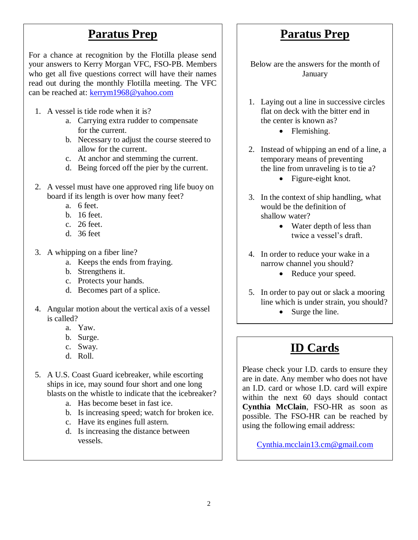#### **Paratus Prep**

For a chance at recognition by the Flotilla please send your answers to Kerry Morgan VFC, FSO-PB. Members who get all five questions correct will have their names read out during the monthly Flotilla meeting. The VFC can be reached at: [kerrym1968@yahoo.com](mailto:kerrym1968@yahoo.com)

- 1. A vessel is tide rode when it is?
	- a. Carrying extra rudder to compensate for the current.
	- b. Necessary to adjust the course steered to allow for the current.
	- c. At anchor and stemming the current.
	- d. Being forced off the pier by the current.
- 2. A vessel must have one approved ring life buoy on board if its length is over how many feet?
	- a. 6 feet.
	- b. 16 feet.
	- c. 26 feet.
	- d. 36 feet
- 3. A whipping on a fiber line?
	- a. Keeps the ends from fraying.
	- b. Strengthens it.
	- c. Protects your hands.
	- d. Becomes part of a splice.
- 4. Angular motion about the vertical axis of a vessel is called?
	- a. Yaw.
	- b. Surge.
	- c. Sway.
	- d. Roll.
- 5. A U.S. Coast Guard icebreaker, while escorting ships in ice, may sound four short and one long blasts on the whistle to indicate that the icebreaker?
	- a. Has become beset in fast ice.
	- b. Is increasing speed; watch for broken ice.
	- c. Have its engines full astern.
	- d. Is increasing the distance between vessels.

#### **Paratus Prep**

Below are the answers for the month of January

- 1. Laying out a line in successive circles flat on deck with the bitter end in the center is known as?
	- Flemishing.
- 2. Instead of whipping an end of a line, a temporary means of preventing the line from unraveling is to tie a?
	- Figure-eight knot.
- 3. In the context of ship handling, what would be the definition of shallow water?
	- Water depth of less than twice a vessel's draft.
- 4. In order to reduce your wake in a narrow channel you should?
	- Reduce your speed.
- 5. In order to pay out or slack a mooring line which is under strain, you should?
	- Surge the line. .

### **ID Cards**

Please check your I.D. cards to ensure they are in date. Any member who does not have an I.D. card or whose I.D. card will expire within the next 60 days should contact **Cynthia McClain**, FSO-HR as soon as possible. The FSO-HR can be reached by using the following email address:

[Cynthia.mcclain13.cm@gmail.com](mailto:Cynthia.mcclain13.cm@gmail.com)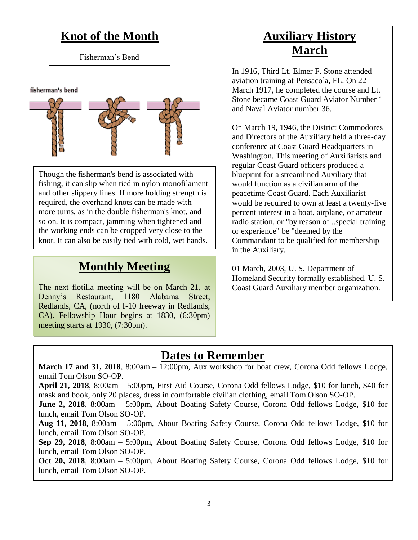#### **Knot of the Month**

Fisherman's Bend

fisherman's bend

Though the fisherman's bend is associated with fishing, it can slip when tied in nylon monofilament and other slippery lines. If more holding strength is required, the overhand knots can be made with more turns, as in the [double fisherman's knot,](https://en.wikipedia.org/wiki/Double_fisherman%27s_knot) and so on. It is compact, jamming when tightened and the [working ends](https://en.wikipedia.org/wiki/Working_end) can be cropped very close to the knot. It can also be easily tied with cold, wet hands.

#### **Monthly Meeting**

The next flotilla meeting will be on March 21, at Denny's Restaurant, 1180 Alabama Street, Redlands, CA, (north of I-10 freeway in Redlands, CA). Fellowship Hour begins at 1830, (6:30pm) meeting starts at 1930, (7:30pm).

# **Auxiliary History March**

In 1916, Third Lt. Elmer F. Stone attended aviation training at Pensacola, FL. On 22 March 1917, he completed the course and Lt. Stone became Coast Guard Aviator Number 1 and Naval Aviator number 36.

On March 19, 1946, the District Commodores and Directors of the Auxiliary held a three-day conference at Coast Guard Headquarters in Washington. This meeting of Auxiliarists and regular Coast Guard officers produced a blueprint for a streamlined Auxiliary that would function as a civilian arm of the peacetime Coast Guard. Each Auxiliarist would be required to own at least a twenty-five percent interest in a boat, airplane, or amateur radio station, or "by reason of...special training or experience" be "deemed by the Commandant to be qualified for membership in the Auxiliary.

01 March, 2003, U. S. Department of Homeland Security formally established. U. S. Coast Guard Auxiliary member organization.

# **Dates to Remember**

**March 17 and 31, 2018**, 8:00am – 12:00pm, Aux workshop for boat crew, Corona Odd fellows Lodge, email Tom Olson SO-OP.

**April 21, 2018**, 8:00am – 5:00pm, First Aid Course, Corona Odd fellows Lodge, \$10 for lunch, \$40 for mask and book, only 20 places, dress in comfortable civilian clothing, email Tom Olson SO-OP.

**June 2, 2018**, 8:00am – 5:00pm, About Boating Safety Course, Corona Odd fellows Lodge, \$10 for lunch, email Tom Olson SO-OP.

**Aug 11, 2018**, 8:00am – 5:00pm, About Boating Safety Course, Corona Odd fellows Lodge, \$10 for lunch, email Tom Olson SO-OP.

**Sep 29, 2018**, 8:00am – 5:00pm, About Boating Safety Course, Corona Odd fellows Lodge, \$10 for lunch, email Tom Olson SO-OP.

**Oct 20, 2018**, 8:00am – 5:00pm, About Boating Safety Course, Corona Odd fellows Lodge, \$10 for lunch, email Tom Olson SO-OP.